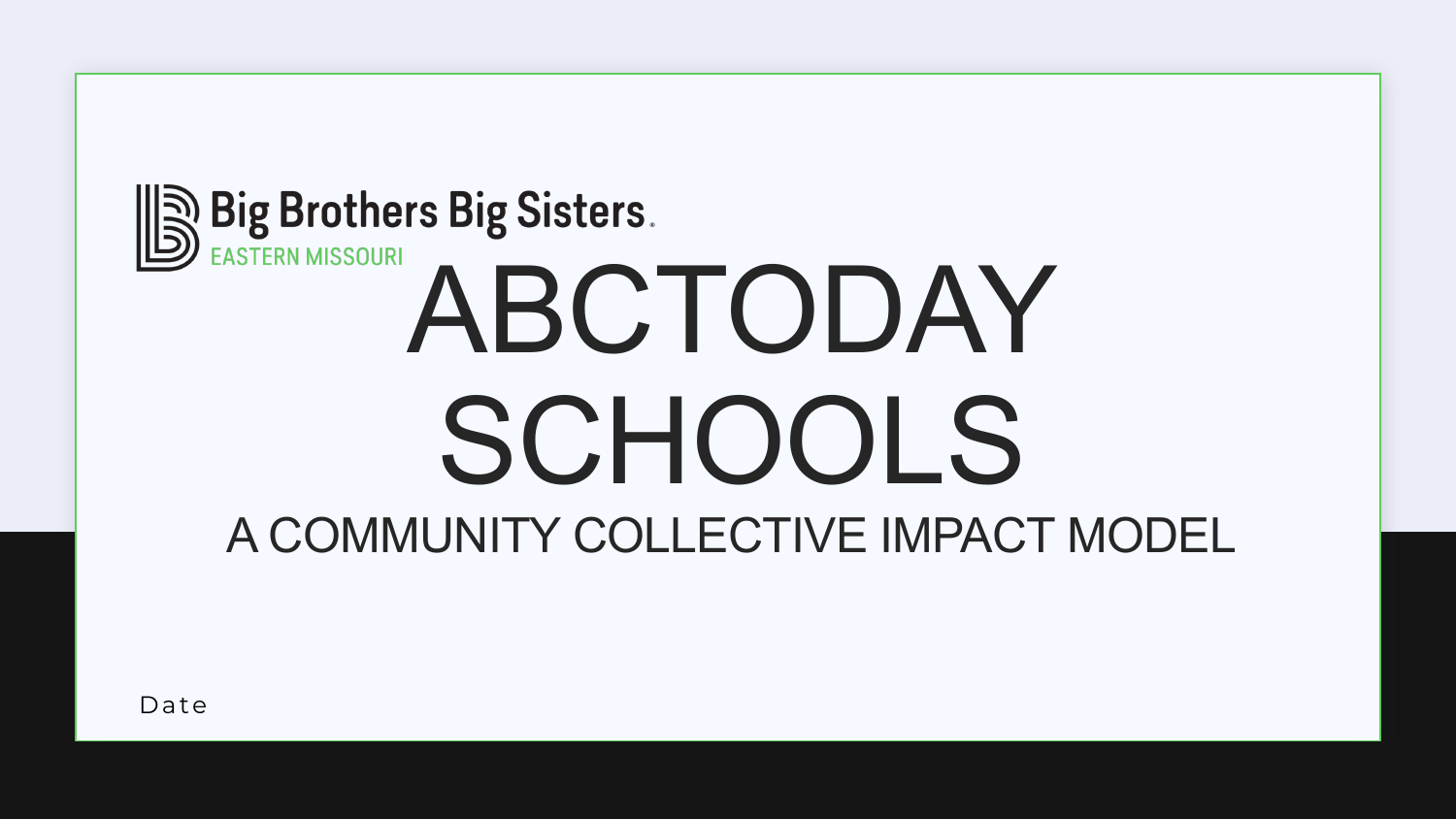# **S Big Brothers Big Sisters.**<br>ABCTODAY SCHOOLS A COMMUNITY COLLECTIVE IMPACT MODEL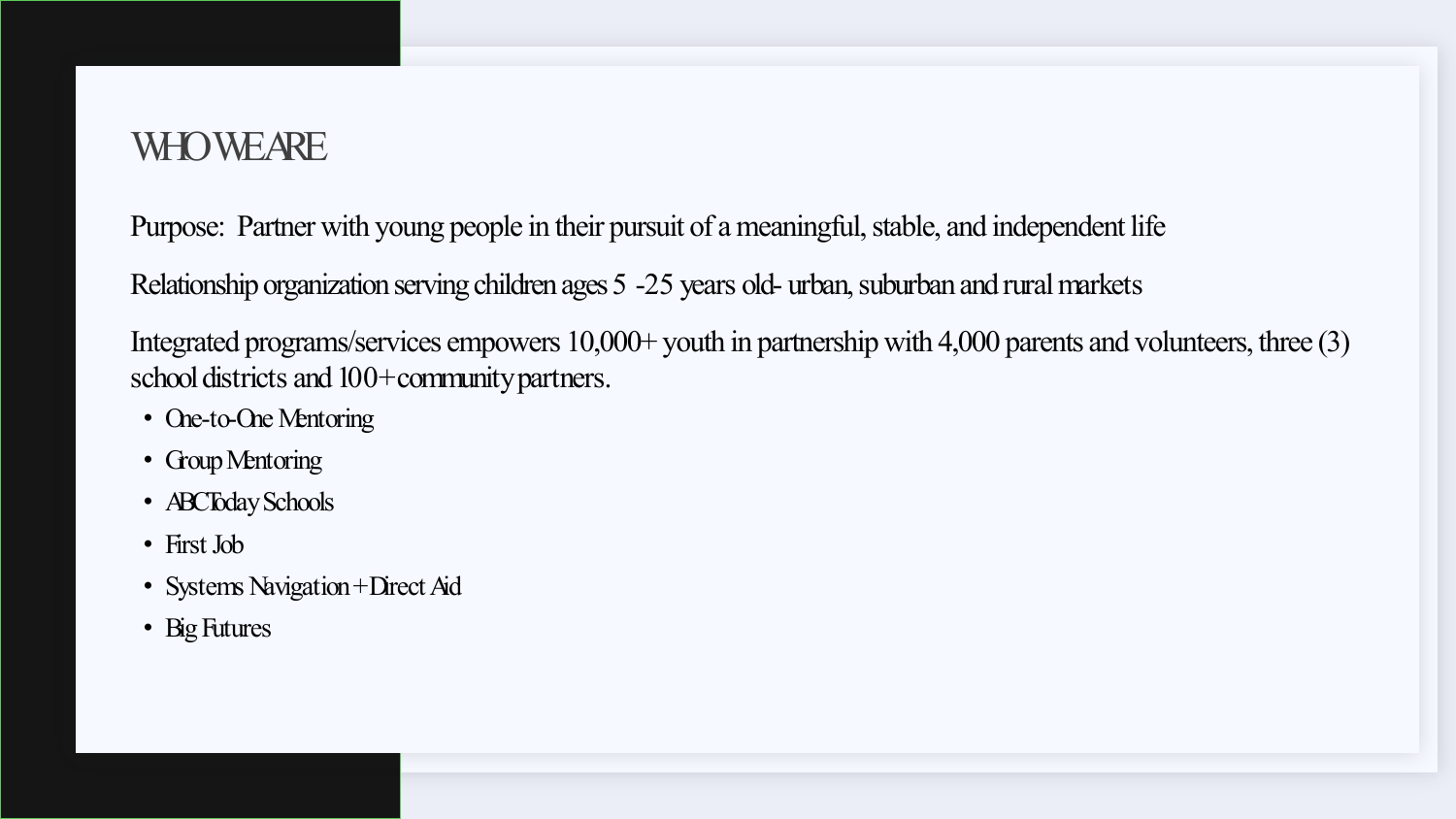#### **WHO WEARE**

Purpose: Partner with young people in their pursuit of a meaningful, stable, and independent life

Relationship organization serving children ages 5 -25 years old- urban, suburban and rural markets

Integrated programs/services empowers 10,000+ youth in partnership with 4,000 parents and volunteers, three (3) school districts and 100+ community partners.

- One-to-One Mentoring
- Group Mentoring
- **ABCToday Schools**
- First Job
- Systems Navigation + Direct Aid
- Big Futures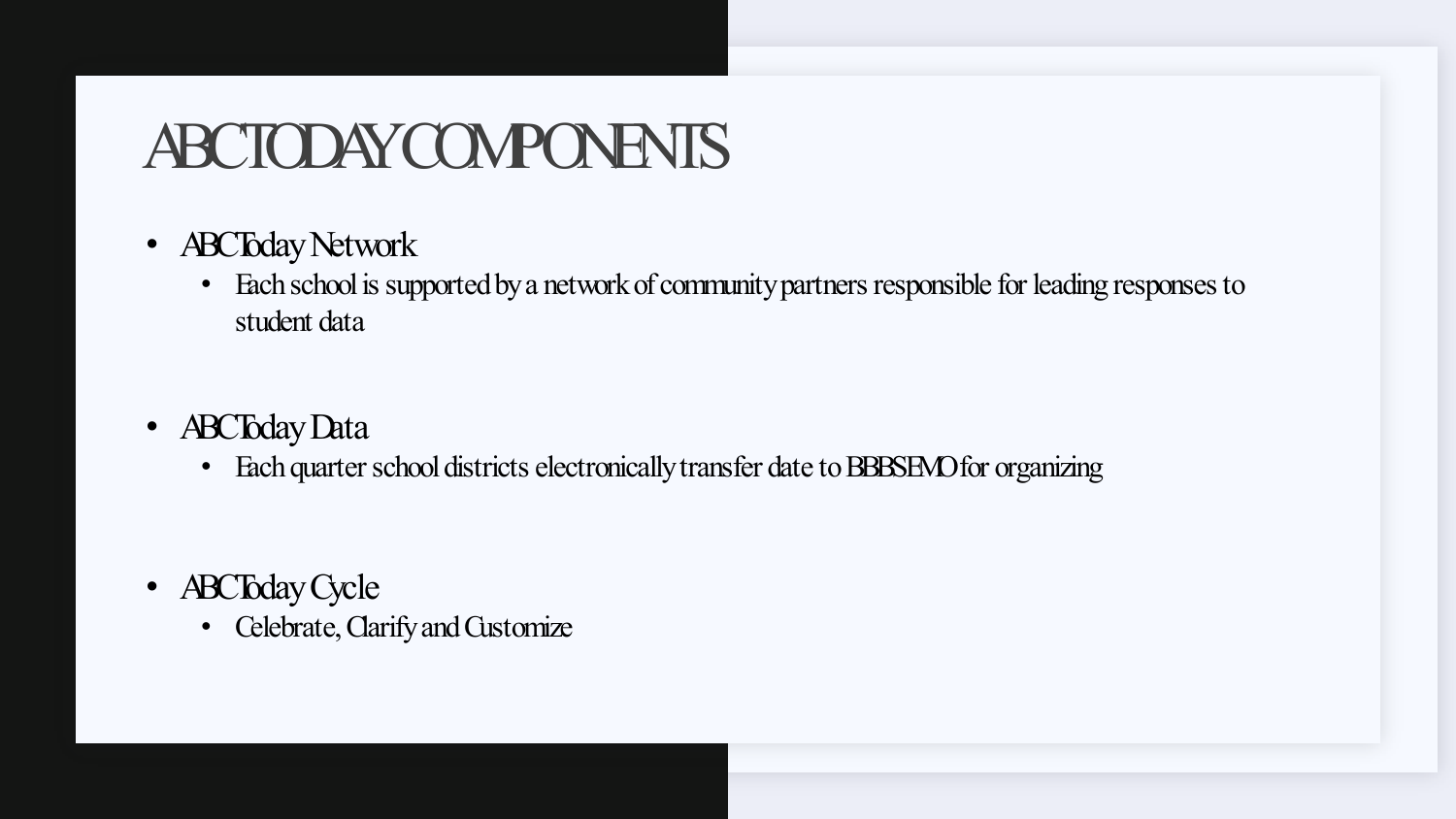## ABCTODAYCOMPONENTS

- **ABCToday Network** 
	- Each school is supported by a network of community partners responsible for leading responses to student data
- **ABCToday Data** 
	- Each quarter school districts electronically transfer date to BBBSEMO for organizing
- **ABCToday Cycle** 
	- Celebrate, Clarify and Customize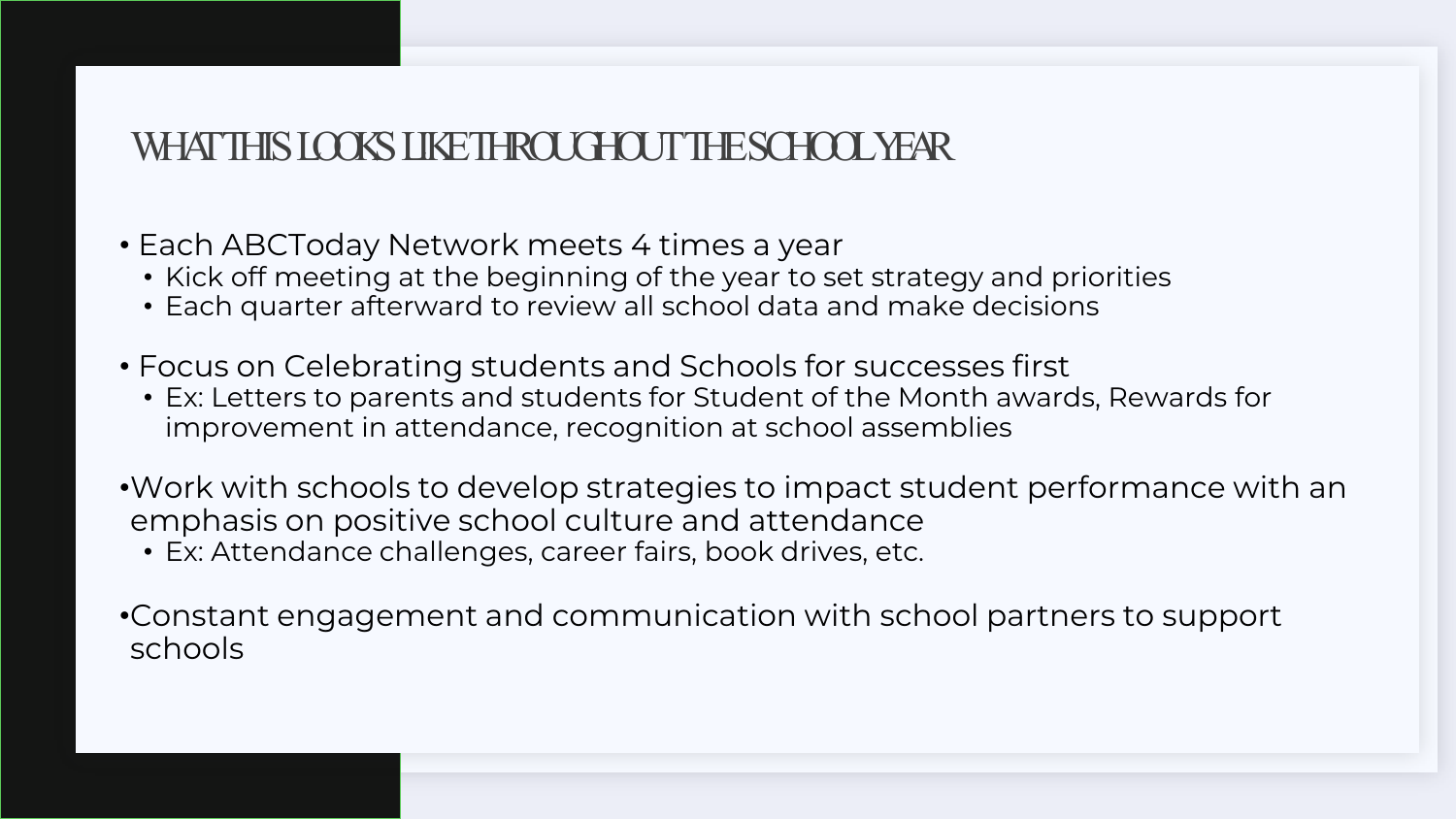#### WHAT THIS LOOKS LIKE THROUGHOUT THE SCHOOL YEAR

• Each ABCToday Network meets 4 times a year

- Kick off meeting at the beginning of the year to set strategy and priorities
- Each quarter afterward to review all school data and make decisions
- Focus on Celebrating students and Schools for successes first
	- Ex: Letters to parents and students for Student of the Month awards, Rewards for improvement in attendance, recognition at school assemblies

•Work with schools to develop strategies to impact student performance with an emphasis on positive school culture and attendance

• Ex: Attendance challenges, career fairs, book drives, etc.

•Constant engagement and communication with school partners to support schools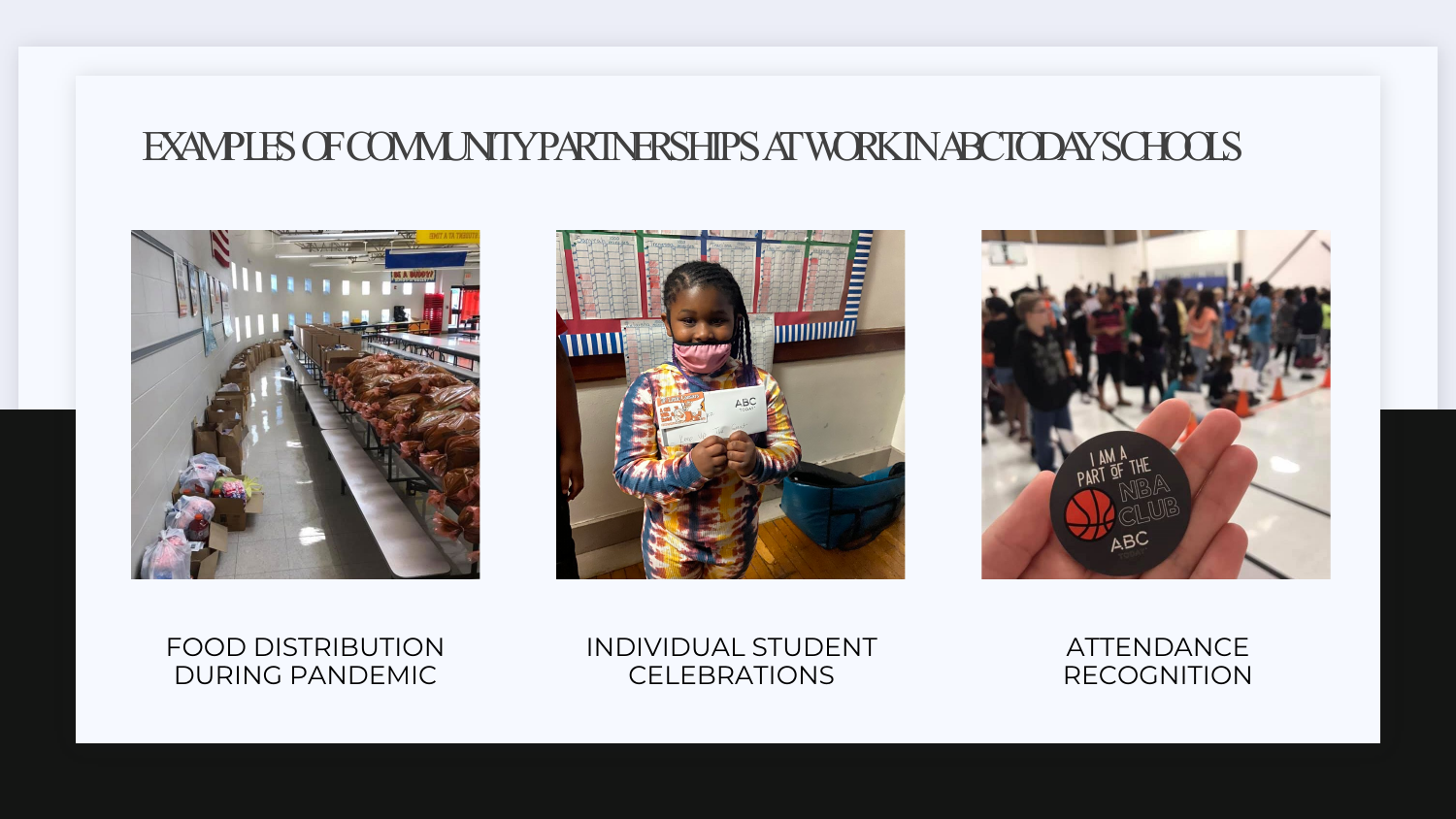#### EXAMPLES OF COMMUNITY PARTNERSHIPS AT WORK IN ABCTODAYSCHOOLS







FOOD DISTRIBUTION DURING PANDEMIC

INDIVIDUAL STUDENT **CELEBRATIONS** 

ATTENDANCE RECOGNITION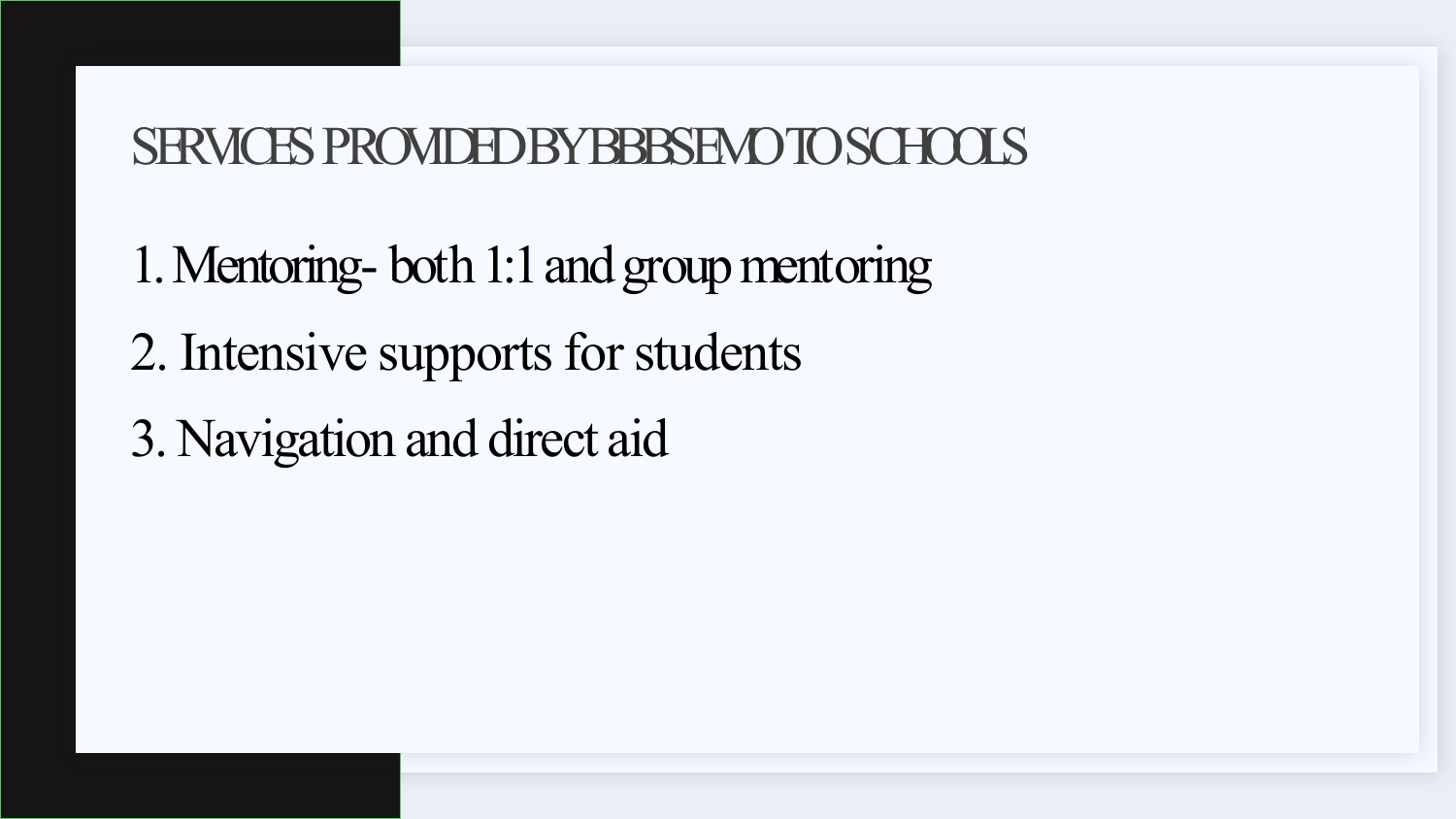### SERVICES PROVIDED BY BBBSEMO TO SCHOOLS

1. Mentoring- both 1:1 and group mentoring 2. Intensive supports for students 3. Navigation and direct aid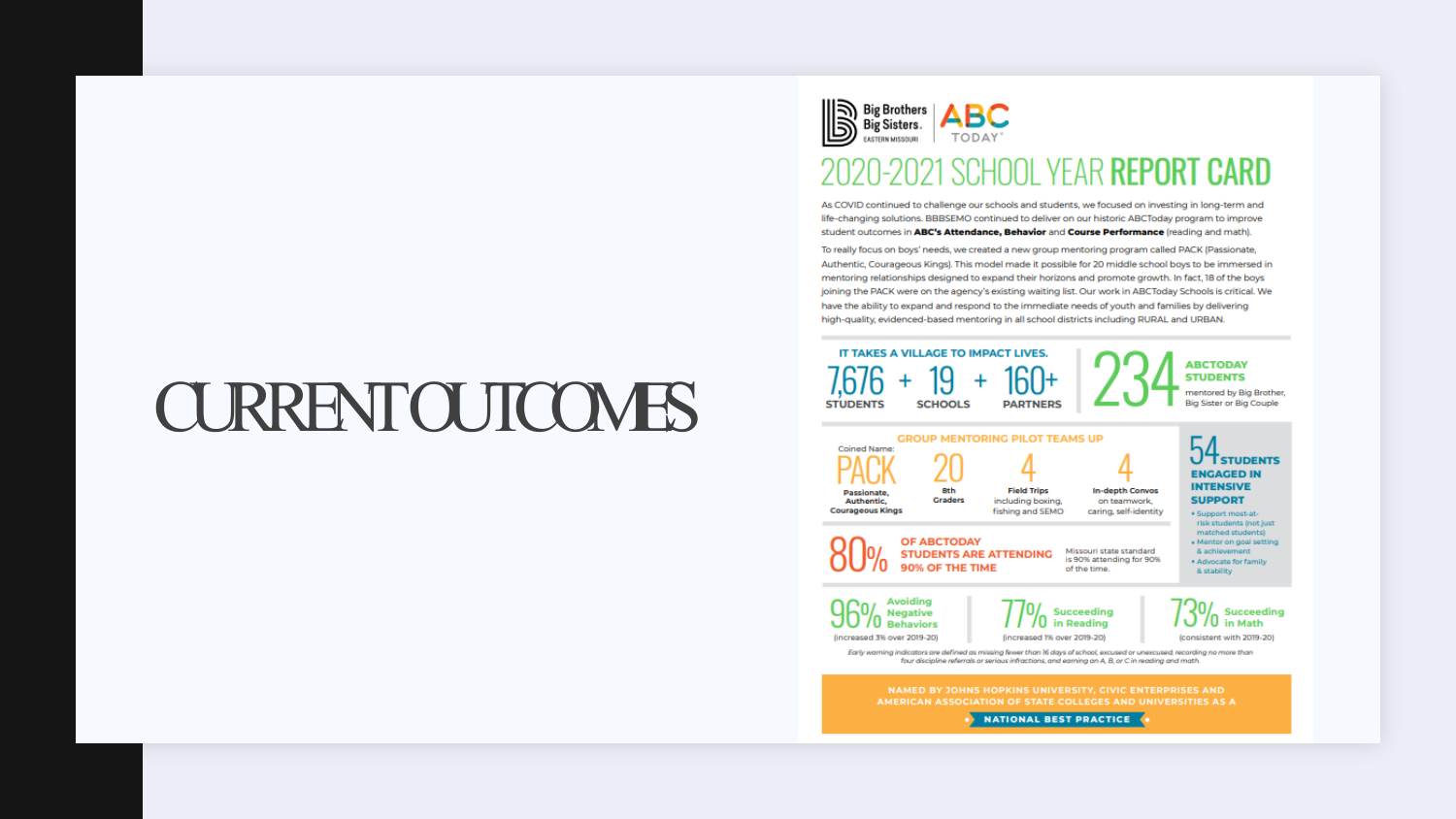## CURRENT OUTCOMES



#### 2020-2021 SCHOOL YEAR REPORT CARD

As COVID continued to challenge our schools and students, we focused on investing in long-term and life-changing solutions. BBBSEMO continued to deliver on our historic ABCToday program to improve student outcomes in ABC's Attendance, Behavior and Course Performance (reading and math).

To really focus on boys' needs, we created a new group mentoring program called PACK (Passionate, Authentic, Courageous Kings). This model made it possible for 20 middle school boys to be immersed in mentoring relationships designed to expand their horizons and promote growth. In fact, 18 of the boys joining the PACK were on the agency's existing waiting list. Our work in ABCToday Schools is critical. We have the ability to expand and respond to the immediate needs of youth and families by delivering high-quality, evidenced-based mentoring in all school districts including RURAL and URBAN.

| <b>Coined Name:</b>       |                                                        | <b>GROUP MENTORING PILOT TEAMS UP</b>   |                                          |                                               |
|---------------------------|--------------------------------------------------------|-----------------------------------------|------------------------------------------|-----------------------------------------------|
|                           |                                                        |                                         |                                          | <b>ENGAGED IN</b>                             |
| Passionate.<br>Authentic. | <b>Bth</b><br><b>Graders</b>                           | <b>Field Trips</b><br>including baxing. | In-depth Convos<br>on tearmwork.         | <b>INTENSIVE</b><br><b>SUPPORT</b>            |
| <b>Courageous Kings</b>   |                                                        | fishing and SEMO                        | caring, self-identity                    | · Support most-at-<br>risk students (not just |
|                           | <b>OF ABCTODAY</b>                                     |                                         | Missouri state standard                  | · Mentor on goal setting<br>& achievement     |
|                           | <b>STUDENTS ARE ATTENDING</b><br>90% OF THE TIME       |                                         | is 90% attending for 90%<br>of the time. | * Advocate for family<br>& stability          |
|                           | <b>Avoiding</b><br><b>Negative</b><br><b>Rehaviors</b> |                                         | Succeeding<br>in Reading                 | $1.3\%$ Succeeding                            |